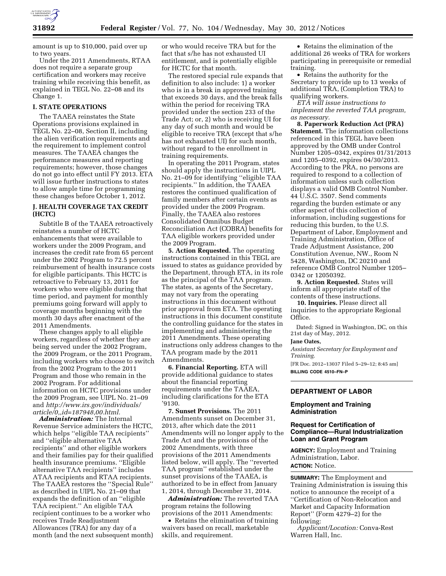

amount is up to \$10,000, paid over up to two years.

Under the 2011 Amendments, RTAA does not require a separate group certification and workers may receive training while receiving this benefit, as explained in TEGL No. 22–08 and its Change 1.

# **I. STATE OPERATIONS**

The TAAEA reinstates the State Operations provisions explained in TEGL No. 22–08, Section II, including the alien verification requirements and the requirement to implement control measures. The TAAEA changes the performance measures and reporting requirements; however, those changes do not go into effect until FY 2013. ETA will issue further instructions to states to allow ample time for programming these changes before October 1, 2012.

### **J. HEALTH COVERAGE TAX CREDIT (HCTC)**

Subtitle B of the TAAEA retroactively reinstates a number of HCTC enhancements that were available to workers under the 2009 Program, and increases the credit rate from 65 percent under the 2002 Program to 72.5 percent reimbursement of health insurance costs for eligible participants. This HCTC is retroactive to February 13, 2011 for workers who were eligible during that time period, and payment for monthly premiums going forward will apply to coverage months beginning with the month 30 days after enactment of the 2011 Amendments.

These changes apply to all eligible workers, regardless of whether they are being served under the 2002 Program, the 2009 Program, or the 2011 Program, including workers who choose to switch from the 2002 Program to the 2011 Program and those who remain in the 2002 Program. For additional information on HCTC provisions under the 2009 Program, see UIPL No. 21–09 and *[http://www.irs.gov/individuals/](http://www.irs.gov/individuals/article/0,,id=187948,00.html)  [article/0,,id=187948,00.html.](http://www.irs.gov/individuals/article/0,,id=187948,00.html)* 

*Administration:* The Internal Revenue Service administers the HCTC, which helps ''eligible TAA recipients'' and ''eligible alternative TAA recipients'' and other eligible workers and their families pay for their qualified health insurance premiums. ''Eligible alternative TAA recipients'' includes ATAA recipients and RTAA recipients. The TAAEA restores the ''Special Rule'' as described in UIPL No. 21–09 that expands the definition of an ''eligible TAA recipient.'' An eligible TAA recipient continues to be a worker who receives Trade Readjustment Allowances (TRA) for any day of a month (and the next subsequent month)

or who would receive TRA but for the fact that s/he has not exhausted UI entitlement, and is potentially eligible for HCTC for that month.

The restored special rule expands that definition to also include: 1) a worker who is in a break in approved training that exceeds 30 days, and the break falls within the period for receiving TRA provided under the section 233 of the Trade Act; or, 2) who is receiving UI for any day of such month and would be eligible to receive TRA (except that s/he has not exhausted UI) for such month, without regard to the enrollment in training requirements.

In operating the 2011 Program, states should apply the instructions in UIPL No. 21–09 for identifying ''eligible TAA recipients.'' In addition, the TAAEA restores the continued qualification of family members after certain events as provided under the 2009 Program. Finally, the TAAEA also restores Consolidated Omnibus Budget Reconciliation Act (COBRA) benefits for TAA eligible workers provided under the 2009 Program.

**5. Action Requested.** The operating instructions contained in this TEGL are issued to states as guidance provided by the Department, through ETA, in its role as the principal of the TAA program. The states, as agents of the Secretary, may not vary from the operating instructions in this document without prior approval from ETA. The operating instructions in this document constitute the controlling guidance for the states in implementing and administering the 2011 Amendments. These operating instructions only address changes to the TAA program made by the 2011 Amendments.

**6. Financial Reporting.** ETA will provide additional guidance to states about the financial reporting requirements under the TAAEA, including clarifications for the ETA '9130.

**7. Sunset Provisions.** The 2011 Amendments sunset on December 31, 2013, after which date the 2011 Amendments will no longer apply to the Trade Act and the provisions of the 2002 Amendments, with three provisions of the 2011 Amendments listed below, will apply. The ''reverted TAA program'' established under the sunset provisions of the TAAEA, is authorized to be in effect from January 1, 2014, through December 31, 2014.

*Administration:* The reverted TAA program retains the following provisions of the 2011 Amendments:

• Retains the elimination of training waivers based on recall, marketable skills, and requirement.

• Retains the elimination of the additional 26 weeks of TRA for workers participating in prerequisite or remedial training.

• Retains the authority for the Secretary to provide up to 13 weeks of additional TRA, (Completion TRA) to qualifying workers.

*ETA will issue instructions to implement the reverted TAA program, as necessary.* 

**8. Paperwork Reduction Act (PRA) Statement.** The information collections referenced in this TEGL have been approved by the OMB under Control Number 1205–0342, expires 01/31/2013 and 1205–0392, expires 04/30/2013. According to the PRA, no persons are required to respond to a collection of information unless such collection displays a valid OMB Control Number. 44 U.S.C. 3507. Send comments regarding the burden estimate or any other aspect of this collection of information, including suggestions for reducing this burden, to the U.S. Department of Labor, Employment and Training Administration, Office of Trade Adjustment Assistance, 200 Constitution Avenue, NW., Room N 5428, Washington, DC 20210 and reference OMB Control Number 1205– 0342 or 12050392.

**9. Action Requested.** States will inform all appropriate staff of the contents of these instructions.

**10. Inquiries.** Please direct all inquiries to the appropriate Regional Office.

Dated: Signed in Washington, DC, on this 21st day of May, 2012.

#### **Jane Oates,**

*Assistant Secretary for Employment and Training.* 

[FR Doc. 2012–13037 Filed 5–29–12; 8:45 am] **BILLING CODE 4510–FN–P** 

### **DEPARTMENT OF LABOR**

### **Employment and Training Administration**

### **Request for Certification of Compliance—Rural Industrialization Loan and Grant Program**

**AGENCY:** Employment and Training Administration, Labor. **ACTION:** Notice.

**SUMMARY:** The Employment and Training Administration is issuing this notice to announce the receipt of a ''Certification of Non-Relocation and Market and Capacity Information Report'' (Form 4279–2) for the following:

*Applicant/Location:* Conva-Rest Warren Hall, Inc.